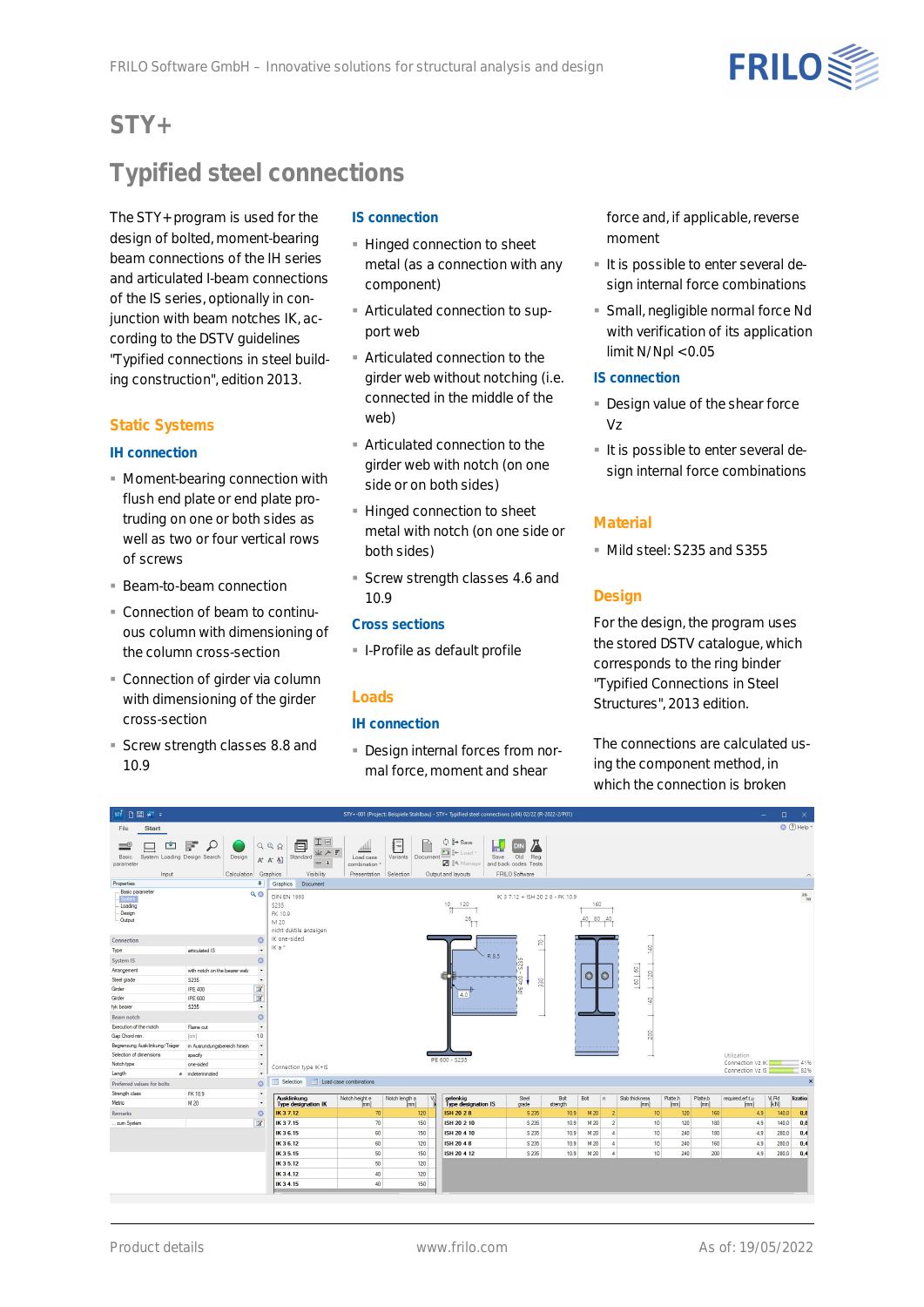

## **STY+**

# **Typified steel connections**

The STY+ program is used for the design of bolted, moment-bearing beam connections of the IH series and articulated I-beam connections of the IS series, optionally in conjunction with beam notches IK, according to the DSTV guidelines "Typified connections in steel building construction", edition 2013.

## **Static Systems**

#### **IH connection**

- **Moment-bearing connection with** flush end plate or end plate protruding on one or both sides as well as two or four vertical rows of screws
- **Beam-to-beam connection**
- Connection of beam to continuous column with dimensioning of the column cross-section
- Connection of girder via column with dimensioning of the girder cross-section
- Screw strength classes 8.8 and 10.9

#### **IS connection**

- Hinged connection to sheet metal (as a connection with any component)
- Articulated connection to support web
- Articulated connection to the girder web without notching (i.e. connected in the middle of the web)
- Articulated connection to the girder web with notch (on one side or on both sides)
- **Hinged connection to sheet** metal with notch (on one side or both sides)
- Screw strength classes 4.6 and 10.9

#### **Cross sections**

I-Profile as default profile

#### **Loads**

#### **IH connection**

 Design internal forces from normal force, moment and shear

force and, if applicable, reverse moment

- It is possible to enter several design internal force combinations
- Small, negligible normal force Nd with verification of its application limit N/Npl < 0.05

#### **IS connection**

- **Design value of the shear force**  $V<sub>7</sub>$
- It is possible to enter several design internal force combinations

## **Material**

Mild steel: S235 and S355

## **Design**

For the design, the program uses the stored DSTV catalogue, which corresponds to the ring binder "Typified Connections in Steel Structures", 2013 edition.

The connections are calculated using the component method, in which the connection is broken